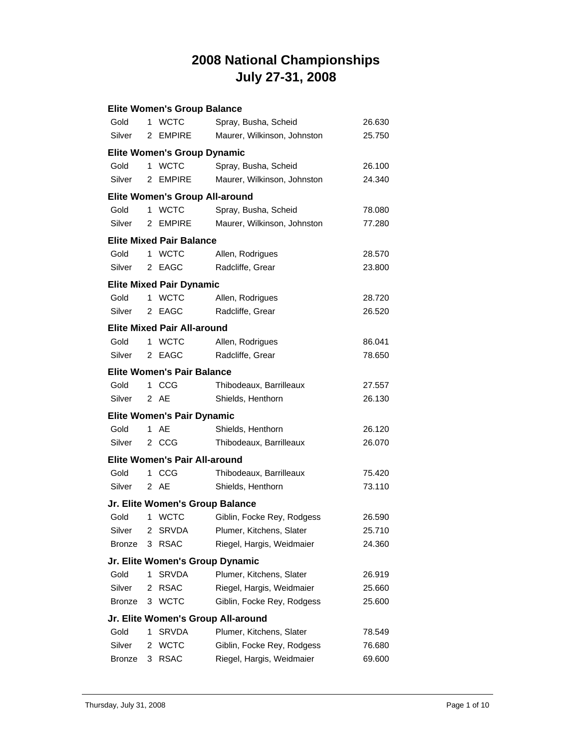|               |    | <b>Elite Women's Group Balance</b>    |                                    |        |
|---------------|----|---------------------------------------|------------------------------------|--------|
| Gold          |    | 1 WCTC                                | Spray, Busha, Scheid               | 26.630 |
| Silver        |    | 2 EMPIRE                              | Maurer, Wilkinson, Johnston        | 25.750 |
|               |    | <b>Elite Women's Group Dynamic</b>    |                                    |        |
| Gold          | 1  | <b>WCTC</b>                           | Spray, Busha, Scheid               | 26.100 |
| Silver        |    | 2 EMPIRE                              | Maurer, Wilkinson, Johnston        | 24.340 |
|               |    | <b>Elite Women's Group All-around</b> |                                    |        |
| Gold          |    | 1 WCTC                                | Spray, Busha, Scheid               | 78.080 |
| Silver        |    | 2 EMPIRE                              | Maurer, Wilkinson, Johnston        | 77.280 |
|               |    | <b>Elite Mixed Pair Balance</b>       |                                    |        |
| Gold          |    | 1 WCTC                                | Allen, Rodrigues                   | 28.570 |
| Silver        |    | 2 EAGC                                | Radcliffe, Grear                   | 23.800 |
|               |    | <b>Elite Mixed Pair Dynamic</b>       |                                    |        |
| Gold          | 1. | <b>WCTC</b>                           | Allen, Rodrigues                   | 28.720 |
| Silver        |    | 2 EAGC                                | Radcliffe, Grear                   | 26.520 |
|               |    | Elite Mixed Pair All-around           |                                    |        |
| Gold          |    | 1 WCTC                                | Allen, Rodrigues                   | 86.041 |
| Silver        |    | 2 EAGC                                | Radcliffe, Grear                   | 78.650 |
|               |    | <b>Elite Women's Pair Balance</b>     |                                    |        |
| Gold          |    | 1 CCG                                 | Thibodeaux, Barrilleaux            | 27.557 |
| Silver        |    | 2 AE                                  | Shields, Henthorn                  | 26.130 |
|               |    | <b>Elite Women's Pair Dynamic</b>     |                                    |        |
| Gold          |    | 1 AE                                  | Shields, Henthorn                  | 26.120 |
| Silver        |    | 2 CCG                                 | Thibodeaux, Barrilleaux            | 26.070 |
|               |    | Elite Women's Pair All-around         |                                    |        |
| Gold          | 1. | CCG                                   | Thibodeaux, Barrilleaux            | 75.420 |
| Silver        |    | 2 AE                                  | Shields, Henthorn                  | 73.110 |
|               |    | Jr. Elite Women's Group Balance       |                                    |        |
| Gold          |    | 1 WCTC                                | Giblin, Focke Rey, Rodgess         | 26.590 |
| Silver        | 2  | <b>SRVDA</b>                          | Plumer, Kitchens, Slater           | 25.710 |
| <b>Bronze</b> | 3  | <b>RSAC</b>                           | Riegel, Hargis, Weidmaier          | 24.360 |
|               |    |                                       | Jr. Elite Women's Group Dynamic    |        |
| Gold          | 1  | <b>SRVDA</b>                          | Plumer, Kitchens, Slater           | 26.919 |
| Silver        | 2  | <b>RSAC</b>                           | Riegel, Hargis, Weidmaier          | 25.660 |
| <b>Bronze</b> |    | 3 WCTC                                | Giblin, Focke Rey, Rodgess         | 25.600 |
|               |    |                                       | Jr. Elite Women's Group All-around |        |
| Gold          | 1  | <b>SRVDA</b>                          | Plumer, Kitchens, Slater           | 78.549 |
| Silver        | 2  | <b>WCTC</b>                           | Giblin, Focke Rey, Rodgess         | 76.680 |
| <b>Bronze</b> | 3  | <b>RSAC</b>                           | Riegel, Hargis, Weidmaier          | 69.600 |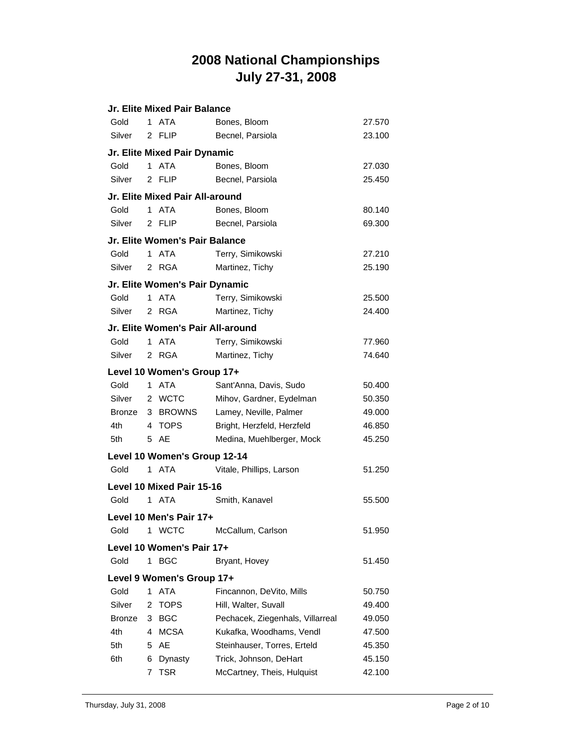|               |              | Jr. Elite Mixed Pair Balance      |                                  |        |
|---------------|--------------|-----------------------------------|----------------------------------|--------|
| Gold          | $\mathbf{1}$ | <b>ATA</b>                        | Bones, Bloom                     | 27.570 |
| Silver        |              | 2 FLIP                            | Becnel, Parsiola                 | 23.100 |
|               |              | Jr. Elite Mixed Pair Dynamic      |                                  |        |
| Gold          | $\mathbf 1$  | <b>ATA</b>                        | Bones, Bloom                     | 27.030 |
| Silver        |              | 2 FLIP                            | Becnel, Parsiola                 | 25.450 |
|               |              | Jr. Elite Mixed Pair All-around   |                                  |        |
| Gold          |              | 1 ATA                             | Bones, Bloom                     | 80.140 |
| Silver        |              | 2 FLIP                            | Becnel, Parsiola                 | 69.300 |
|               |              | Jr. Elite Women's Pair Balance    |                                  |        |
| Gold          |              | 1 ATA                             | Terry, Simikowski                | 27.210 |
| Silver        |              | 2 RGA                             | Martinez, Tichy                  | 25.190 |
|               |              | Jr. Elite Women's Pair Dynamic    |                                  |        |
| Gold          | $\mathbf{1}$ | <b>ATA</b>                        | Terry, Simikowski                | 25.500 |
| Silver        |              | 2 RGA                             | Martinez, Tichy                  | 24.400 |
|               |              | Jr. Elite Women's Pair All-around |                                  |        |
| Gold          | 1            | <b>ATA</b>                        | Terry, Simikowski                | 77.960 |
| Silver        |              | 2 RGA                             | Martinez, Tichy                  | 74.640 |
|               |              | Level 10 Women's Group 17+        |                                  |        |
| Gold          | 1            | <b>ATA</b>                        | Sant'Anna, Davis, Sudo           | 50.400 |
| Silver        |              | 2 WCTC                            | Mihov, Gardner, Eydelman         | 50.350 |
| Bronze        |              | 3 BROWNS                          | Lamey, Neville, Palmer           | 49.000 |
| 4th           |              | 4 TOPS                            | Bright, Herzfeld, Herzfeld       | 46.850 |
| 5th           |              | 5 AE                              | Medina, Muehlberger, Mock        | 45.250 |
|               |              | Level 10 Women's Group 12-14      |                                  |        |
| Gold          |              | 1 ATA                             | Vitale, Phillips, Larson         | 51.250 |
|               |              | <b>Level 10 Mixed Pair 15-16</b>  |                                  |        |
| Gold          |              | 1 ATA                             | Smith, Kanavel                   | 55.500 |
|               |              | Level 10 Men's Pair 17+           |                                  |        |
| Gold          | 1            | <b>WCTC</b>                       | McCallum, Carlson                | 51.950 |
|               |              | Level 10 Women's Pair 17+         |                                  |        |
| Gold          | 1            | <b>BGC</b>                        | Bryant, Hovey                    | 51.450 |
|               |              | Level 9 Women's Group 17+         |                                  |        |
| Gold          | 1            | <b>ATA</b>                        | Fincannon, DeVito, Mills         | 50.750 |
| Silver        | 2            | <b>TOPS</b>                       | Hill, Walter, Suvall             | 49.400 |
| <b>Bronze</b> | 3            | <b>BGC</b>                        | Pechacek, Ziegenhals, Villarreal | 49.050 |
| 4th           | 4            | <b>MCSA</b>                       | Kukafka, Woodhams, Vendl         | 47.500 |
| 5th           | 5            | AE                                | Steinhauser, Torres, Erteld      | 45.350 |
| 6th           | 6            | Dynasty                           | Trick, Johnson, DeHart           | 45.150 |
|               | 7            | <b>TSR</b>                        | McCartney, Theis, Hulquist       | 42.100 |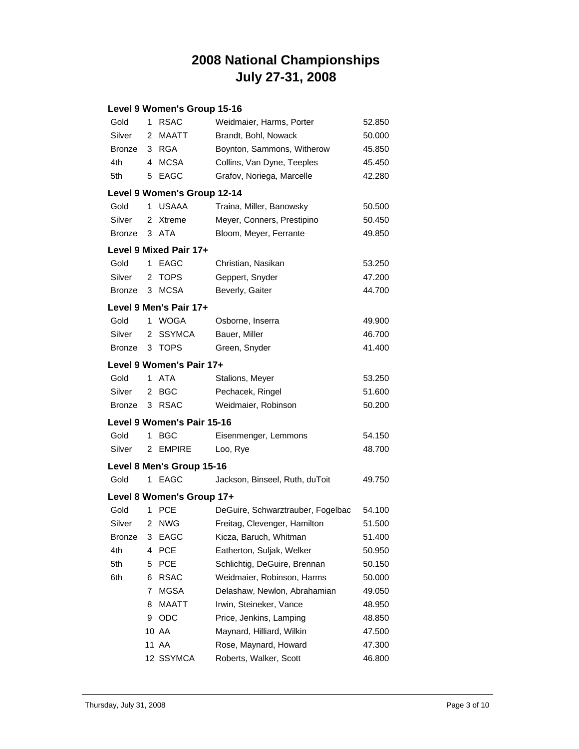#### **Level 9 Women's Group 15-16**

| Gold          | 1  | <b>RSAC</b>                 | Weidmaier, Harms, Porter          | 52.850 |
|---------------|----|-----------------------------|-----------------------------------|--------|
| Silver        | 2  | <b>MAATT</b>                | Brandt, Bohl, Nowack              | 50.000 |
| <b>Bronze</b> |    | 3 RGA                       | Boynton, Sammons, Witherow        | 45.850 |
| 4th           | 4  | <b>MCSA</b>                 | Collins, Van Dyne, Teeples        | 45.450 |
| 5th           | 5  | EAGC                        | Grafov, Noriega, Marcelle         | 42.280 |
|               |    | Level 9 Women's Group 12-14 |                                   |        |
| Gold          | 1  | <b>USAAA</b>                | Traina, Miller, Banowsky          | 50.500 |
| Silver        | 2  | Xtreme                      | Meyer, Conners, Prestipino        | 50.450 |
| <b>Bronze</b> |    | 3 ATA                       | Bloom, Meyer, Ferrante            | 49.850 |
|               |    | Level 9 Mixed Pair 17+      |                                   |        |
| Gold          | 1  | <b>EAGC</b>                 | Christian, Nasikan                | 53.250 |
| Silver        | 2  | <b>TOPS</b>                 | Geppert, Snyder                   | 47.200 |
| <b>Bronze</b> |    | 3 MCSA                      | Beverly, Gaiter                   | 44.700 |
|               |    | Level 9 Men's Pair 17+      |                                   |        |
| Gold          | 1  | <b>WOGA</b>                 | Osborne, Inserra                  | 49.900 |
| Silver        | 2  | <b>SSYMCA</b>               | Bauer, Miller                     | 46.700 |
| <b>Bronze</b> | 3  | TOPS                        | Green, Snyder                     | 41.400 |
|               |    | Level 9 Women's Pair 17+    |                                   |        |
| Gold          | 1. | <b>ATA</b>                  | Stalions, Meyer                   | 53.250 |
| Silver        | 2  | <b>BGC</b>                  | Pechacek, Ringel                  | 51.600 |
| <b>Bronze</b> | 3  | <b>RSAC</b>                 | Weidmaier, Robinson               | 50.200 |
|               |    | Level 9 Women's Pair 15-16  |                                   |        |
| Gold          | 1  | <b>BGC</b>                  | Eisenmenger, Lemmons              | 54.150 |
| Silver        |    | 2 EMPIRE                    | Loo, Rye                          | 48.700 |
|               |    | Level 8 Men's Group 15-16   |                                   |        |
| Gold          |    | 1 EAGC                      | Jackson, Binseel, Ruth, duToit    | 49.750 |
|               |    | Level 8 Women's Group 17+   |                                   |        |
| Gold          | 1  | <b>PCE</b>                  | DeGuire, Schwarztrauber, Fogelbac | 54.100 |
| Silver        | 2  | <b>NWG</b>                  | Freitag, Clevenger, Hamilton      | 51.500 |
| Bronze 3 EAGC |    |                             | Kicza, Baruch, Whitman            | 51.400 |
| 4th           | 4  | <b>PCE</b>                  | Eatherton, Suljak, Welker         | 50.950 |
| 5th           | 5  | <b>PCE</b>                  | Schlichtig, DeGuire, Brennan      | 50.150 |
| 6th           | 6  | <b>RSAC</b>                 | Weidmaier, Robinson, Harms        | 50.000 |
|               | 7  | MGSA                        | Delashaw, Newlon, Abrahamian      | 49.050 |
|               | 8  | MAATT                       | Irwin, Steineker, Vance           | 48.950 |
|               | 9  | ODC                         | Price, Jenkins, Lamping           | 48.850 |
|               |    | 10 AA                       | Maynard, Hilliard, Wilkin         | 47.500 |
|               |    | 11 AA                       | Rose, Maynard, Howard             | 47.300 |
|               |    | 12 SSYMCA                   | Roberts, Walker, Scott            | 46.800 |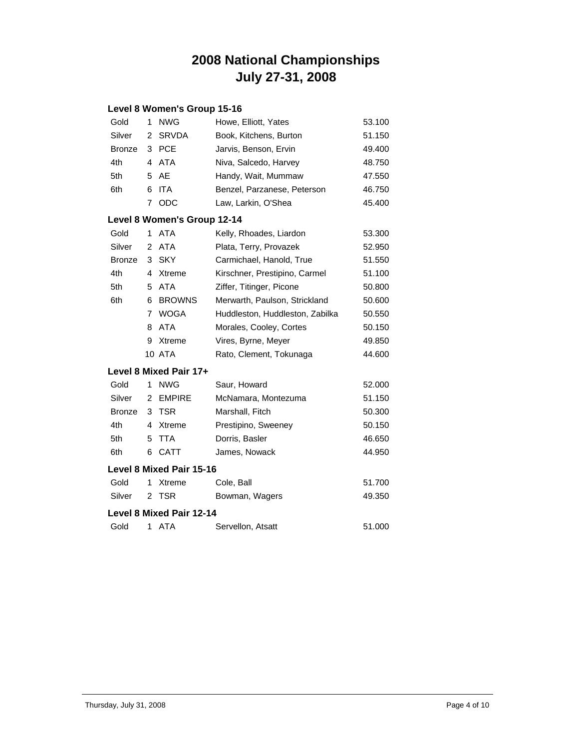#### **Level 8 Women's Group 15-16**

| Gold          | 1              | <b>NWG</b>                      | Howe, Elliott, Yates            | 53.100 |
|---------------|----------------|---------------------------------|---------------------------------|--------|
| Silver        | 2              | <b>SRVDA</b>                    | Book, Kitchens, Burton          | 51.150 |
| <b>Bronze</b> | 3              | <b>PCE</b>                      | Jarvis, Benson, Ervin           | 49.400 |
| 4th           | 4              | <b>ATA</b>                      | Niva, Salcedo, Harvey           | 48.750 |
| 5th           | 5              | AE                              | Handy, Wait, Mummaw             | 47.550 |
| 6th           | 6              | <b>ITA</b>                      | Benzel, Parzanese, Peterson     | 46.750 |
|               | 7              | ODC                             | Law, Larkin, O'Shea             | 45.400 |
|               |                | Level 8 Women's Group 12-14     |                                 |        |
| Gold          | 1              | <b>ATA</b>                      | Kelly, Rhoades, Liardon         | 53.300 |
| Silver        | 2              | <b>ATA</b>                      | Plata, Terry, Provazek          | 52.950 |
| <b>Bronze</b> | 3              | <b>SKY</b>                      | Carmichael, Hanold, True        | 51.550 |
| 4th           | 4              | Xtreme                          | Kirschner, Prestipino, Carmel   | 51.100 |
| 5th           | 5              | <b>ATA</b>                      | Ziffer, Titinger, Picone        | 50.800 |
| 6th           | 6              | <b>BROWNS</b>                   | Merwarth, Paulson, Strickland   | 50.600 |
|               | $\overline{7}$ | <b>WOGA</b>                     | Huddleston, Huddleston, Zabilka | 50.550 |
|               | 8              | <b>ATA</b>                      | Morales, Cooley, Cortes         | 50.150 |
|               | 9              | Xtreme                          | Vires, Byrne, Meyer             | 49.850 |
|               |                | <b>10 ATA</b>                   | Rato, Clement, Tokunaga         | 44.600 |
|               |                | Level 8 Mixed Pair 17+          |                                 |        |
| Gold          | 1              | <b>NWG</b>                      | Saur, Howard                    | 52.000 |
| Silver        | $\overline{2}$ | <b>EMPIRE</b>                   | McNamara, Montezuma             | 51.150 |
| <b>Bronze</b> | 3              | TSR                             | Marshall, Fitch                 | 50.300 |
| 4th           | 4              | Xtreme                          | Prestipino, Sweeney             | 50.150 |
| 5th           | 5              | <b>TTA</b>                      | Dorris, Basler                  | 46.650 |
| 6th           | 6              | <b>CATT</b>                     | James, Nowack                   | 44.950 |
|               |                | <b>Level 8 Mixed Pair 15-16</b> |                                 |        |
| Gold          | 1              | Xtreme                          | Cole, Ball                      | 51.700 |
| Silver        | 2              | <b>TSR</b>                      | Bowman, Wagers                  | 49.350 |
|               |                | <b>Level 8 Mixed Pair 12-14</b> |                                 |        |
| Gold          | 1              | <b>ATA</b>                      | Servellon, Atsatt               | 51.000 |
|               |                |                                 |                                 |        |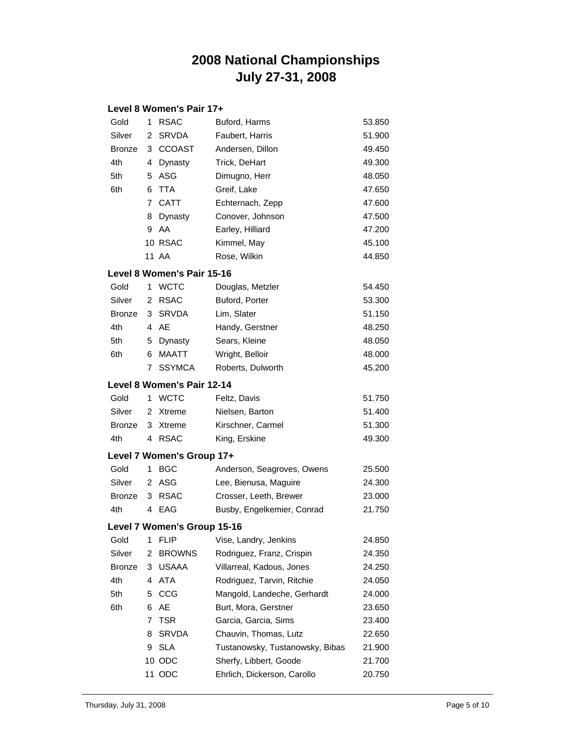#### **Level 8 Women's Pair 17+**

| Gold          | 1 | <b>RSAC</b>                 | Buford, Harms                     | 53.850 |
|---------------|---|-----------------------------|-----------------------------------|--------|
| Silver        | 2 | <b>SRVDA</b>                | Faubert, Harris                   | 51.900 |
| <b>Bronze</b> | 3 | <b>CCOAST</b>               | Andersen, Dillon                  | 49.450 |
| 4th           | 4 | Dynasty                     | Trick, DeHart                     | 49.300 |
| 5th           | 5 | ASG                         | Dimugno, Herr                     | 48.050 |
| 6th           | 6 | <b>TTA</b>                  | Greif, Lake                       | 47.650 |
|               | 7 | <b>CATT</b>                 | Echternach, Zepp                  | 47.600 |
|               | 8 | Dynasty                     | Conover, Johnson                  | 47.500 |
|               | 9 | AA                          | Earley, Hilliard                  | 47.200 |
|               |   | 10 RSAC                     | Kimmel, May                       | 45.100 |
|               |   | 11 AA                       | Rose, Wilkin                      | 44.850 |
|               |   | Level 8 Women's Pair 15-16  |                                   |        |
| Gold          | 1 | <b>WCTC</b>                 | Douglas, Metzler                  | 54.450 |
| Silver        | 2 | <b>RSAC</b>                 | Buford, Porter                    | 53.300 |
| <b>Bronze</b> | 3 | <b>SRVDA</b>                | Lim, Slater                       | 51.150 |
| 4th           |   | 4 AE                        | Handy, Gerstner                   | 48.250 |
| 5th           | 5 | Dynasty                     | Sears, Kleine                     | 48.050 |
| 6th           | 6 | MAATT                       | Wright, Belloir                   | 48.000 |
|               | 7 | <b>SSYMCA</b>               | Roberts, Dulworth                 | 45.200 |
|               |   | Level 8 Women's Pair 12-14  |                                   |        |
| Gold          | 1 | <b>WCTC</b>                 | Feltz, Davis                      | 51.750 |
| Silver        | 2 | Xtreme                      | Nielsen, Barton                   | 51.400 |
| <b>Bronze</b> | 3 | Xtreme                      | Kirschner, Carmel                 | 51.300 |
| 4th           | 4 | <b>RSAC</b>                 | King, Erskine                     | 49.300 |
|               |   | Level 7 Women's Group 17+   |                                   |        |
| Gold          | 1 | <b>BGC</b>                  | Anderson, Seagroves, Owens        | 25.500 |
| Silver        | 2 | ASG                         | Lee, Bienusa, Maguire             | 24.300 |
| <b>Bronze</b> | 3 | <b>RSAC</b>                 | Crosser, Leeth, Brewer            | 23.000 |
| 4th           | 4 | EAG                         | Busby, Engelkemier, Conrad        | 21.750 |
|               |   | Level 7 Women's Group 15-16 |                                   |        |
|               |   |                             | Gold 1 FLIP Vise, Landry, Jenkins | 24.850 |
| Silver        | 2 | <b>BROWNS</b>               | Rodriguez, Franz, Crispin         | 24.350 |
| Bronze        | 3 | <b>USAAA</b>                | Villarreal, Kadous, Jones         | 24.250 |
| 4th           | 4 | ATA                         | Rodriguez, Tarvin, Ritchie        | 24.050 |
| 5th           | 5 | CCG                         | Mangold, Landeche, Gerhardt       | 24.000 |
| 6th           | 6 | AE                          | Burt, Mora, Gerstner              | 23.650 |
|               | 7 | TSR                         | Garcia, Garcia, Sims              | 23.400 |
|               | 8 | <b>SRVDA</b>                | Chauvin, Thomas, Lutz             | 22.650 |
|               | 9 | <b>SLA</b>                  | Tustanowsky, Tustanowsky, Bibas   | 21.900 |
|               |   | 10 ODC                      | Sherfy, Libbert, Goode            | 21.700 |
|               |   | 11 ODC                      | Ehrlich, Dickerson, Carollo       | 20.750 |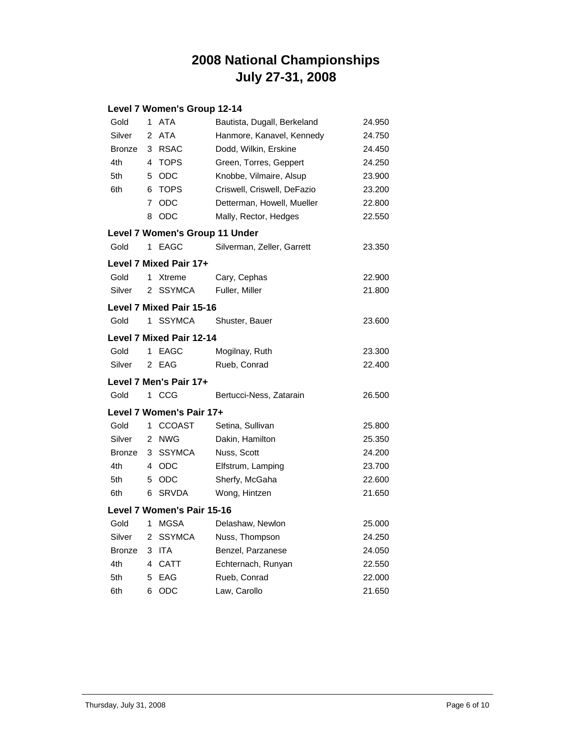#### **Level 7 Women's Group 12-14**

| Gold          | 1              | ATA                             | Bautista, Dugall, Berkeland | 24.950 |
|---------------|----------------|---------------------------------|-----------------------------|--------|
| Silver        | $\overline{2}$ | <b>ATA</b>                      | Hanmore, Kanavel, Kennedy   | 24.750 |
| <b>Bronze</b> | 3              | <b>RSAC</b>                     | Dodd, Wilkin, Erskine       | 24.450 |
| 4th           | 4              | <b>TOPS</b>                     | Green, Torres, Geppert      | 24.250 |
| 5th           | 5              | <b>ODC</b>                      | Knobbe, Vilmaire, Alsup     | 23.900 |
| 6th           | 6              | <b>TOPS</b>                     | Criswell, Criswell, DeFazio | 23.200 |
|               | 7              | <b>ODC</b>                      | Detterman, Howell, Mueller  | 22.800 |
|               | 8              | ODC                             | Mally, Rector, Hedges       | 22.550 |
|               |                | Level 7 Women's Group 11 Under  |                             |        |
| Gold          | 1              | EAGC                            | Silverman, Zeller, Garrett  | 23.350 |
|               |                | Level 7 Mixed Pair 17+          |                             |        |
| Gold          | 1              | Xtreme                          | Cary, Cephas                | 22.900 |
| Silver        | 2              | <b>SSYMCA</b>                   | Fuller, Miller              | 21.800 |
|               |                | <b>Level 7 Mixed Pair 15-16</b> |                             |        |
| Gold          | 1              | <b>SSYMCA</b>                   | Shuster, Bauer              | 23.600 |
|               |                | <b>Level 7 Mixed Pair 12-14</b> |                             |        |
| Gold          | 1              | <b>EAGC</b>                     | Mogilnay, Ruth              | 23.300 |
| Silver        | 2              | EAG                             | Rueb, Conrad                | 22.400 |
|               |                | Level 7 Men's Pair 17+          |                             |        |
| Gold          | 1              | CCG                             | Bertucci-Ness, Zatarain     | 26.500 |
|               |                | Level 7 Women's Pair 17+        |                             |        |
| Gold          | 1              | <b>CCOAST</b>                   | Setina, Sullivan            | 25.800 |
| Silver        | 2              | <b>NWG</b>                      | Dakin, Hamilton             | 25.350 |
| <b>Bronze</b> | 3              | <b>SSYMCA</b>                   | Nuss, Scott                 | 24.200 |
| 4th           | 4              | <b>ODC</b>                      | Elfstrum, Lamping           | 23.700 |
| 5th           | 5              | <b>ODC</b>                      | Sherfy, McGaha              | 22.600 |
| 6th           | 6              | <b>SRVDA</b>                    | Wong, Hintzen               | 21.650 |
|               |                | Level 7 Women's Pair 15-16      |                             |        |
| Gold          | 1              | <b>MGSA</b>                     | Delashaw, Newlon            | 25.000 |
| Silver        | 2              | <b>SSYMCA</b>                   | Nuss, Thompson              | 24.250 |
| <b>Bronze</b> | 3              | <b>ITA</b>                      | Benzel, Parzanese           | 24.050 |
| 4th           | 4              | <b>CATT</b>                     | Echternach, Runyan          | 22.550 |
| 5th           | 5              | EAG                             | Rueb, Conrad                | 22.000 |
| 6th           | 6              | ODC                             | Law, Carollo                | 21.650 |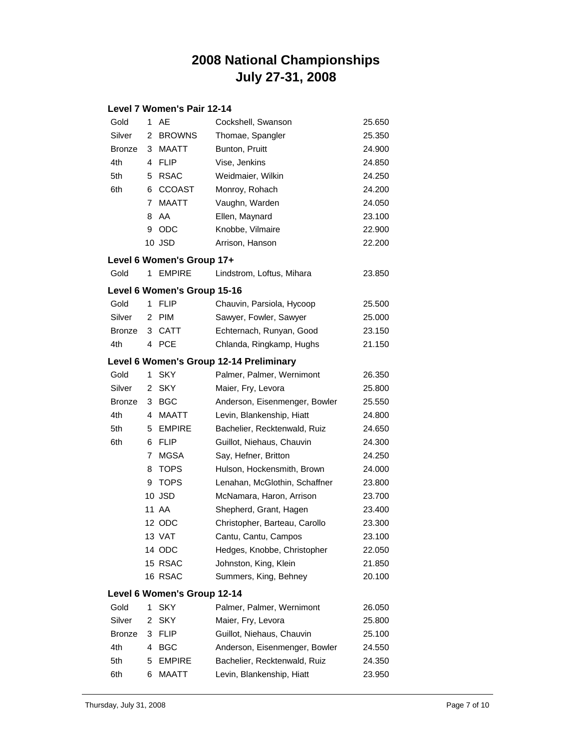#### **Level 7 Women's Pair 12-14**

| Gold          | 1              | AE                          | Cockshell, Swanson                      | 25.650 |
|---------------|----------------|-----------------------------|-----------------------------------------|--------|
| Silver        | 2              | <b>BROWNS</b>               | Thomae, Spangler                        | 25.350 |
| <b>Bronze</b> | 3              | MAATT                       | Bunton, Pruitt                          | 24.900 |
| 4th           | 4              | <b>FLIP</b>                 | Vise, Jenkins                           | 24.850 |
| 5th           | 5              | <b>RSAC</b>                 | Weidmaier, Wilkin                       | 24.250 |
| 6th           | 6              | <b>CCOAST</b>               | Monroy, Rohach                          | 24.200 |
|               | $\overline{7}$ | <b>MAATT</b>                | Vaughn, Warden                          | 24.050 |
|               | 8              | AA                          | Ellen, Maynard                          | 23.100 |
|               | 9              | ODC                         | Knobbe, Vilmaire                        | 22.900 |
|               |                | 10 JSD                      | Arrison, Hanson                         | 22.200 |
|               |                | Level 6 Women's Group 17+   |                                         |        |
| Gold          | 1              | <b>EMPIRE</b>               | Lindstrom, Loftus, Mihara               | 23.850 |
|               |                | Level 6 Women's Group 15-16 |                                         |        |
| Gold          | 1              | <b>FLIP</b>                 | Chauvin, Parsiola, Hycoop               | 25.500 |
| Silver        | 2              | <b>PIM</b>                  | Sawyer, Fowler, Sawyer                  | 25.000 |
| <b>Bronze</b> |                | 3 CATT                      | Echternach, Runyan, Good                | 23.150 |
| 4th           | 4              | <b>PCE</b>                  | Chlanda, Ringkamp, Hughs                | 21.150 |
|               |                |                             | Level 6 Women's Group 12-14 Preliminary |        |
| Gold          | 1              | <b>SKY</b>                  | Palmer, Palmer, Wernimont               | 26.350 |
| Silver        | 2              | <b>SKY</b>                  | Maier, Fry, Levora                      | 25.800 |
| <b>Bronze</b> | 3              | <b>BGC</b>                  | Anderson, Eisenmenger, Bowler           | 25.550 |
| 4th           | 4              | MAATT                       | Levin, Blankenship, Hiatt               | 24.800 |
| 5th           | 5              | <b>EMPIRE</b>               | Bachelier, Recktenwald, Ruiz            | 24.650 |
| 6th           | 6              | FLIP                        | Guillot, Niehaus, Chauvin               | 24.300 |
|               | 7              | MGSA                        | Say, Hefner, Britton                    | 24.250 |
|               | 8              | <b>TOPS</b>                 | Hulson, Hockensmith, Brown              | 24.000 |
|               | 9              | <b>TOPS</b>                 | Lenahan, McGlothin, Schaffner           | 23.800 |
|               |                | 10 JSD                      | McNamara, Haron, Arrison                | 23.700 |
|               |                | 11 AA                       | Shepherd, Grant, Hagen                  | 23.400 |
|               |                | 12 ODC                      | Christopher, Barteau, Carollo           | 23.300 |
|               |                | 13 VAT                      | Cantu, Cantu, Campos                    | 23.100 |
|               |                | 14 ODC                      | Hedges, Knobbe, Christopher             | 22.050 |
|               |                | 15 RSAC                     | Johnston, King, Klein                   | 21.850 |
|               |                | 16 RSAC                     | Summers, King, Behney                   | 20.100 |
|               |                | Level 6 Women's Group 12-14 |                                         |        |
| Gold          | 1              | <b>SKY</b>                  | Palmer, Palmer, Wernimont               | 26.050 |
| Silver        | 2              | <b>SKY</b>                  | Maier, Fry, Levora                      | 25.800 |
| <b>Bronze</b> | 3              | <b>FLIP</b>                 | Guillot, Niehaus, Chauvin               | 25.100 |
| 4th           | 4              | <b>BGC</b>                  | Anderson, Eisenmenger, Bowler           | 24.550 |
| 5th           | 5              | <b>EMPIRE</b>               | Bachelier, Recktenwald, Ruiz            | 24.350 |
| 6th           | 6              | MAATT                       | Levin, Blankenship, Hiatt               | 23.950 |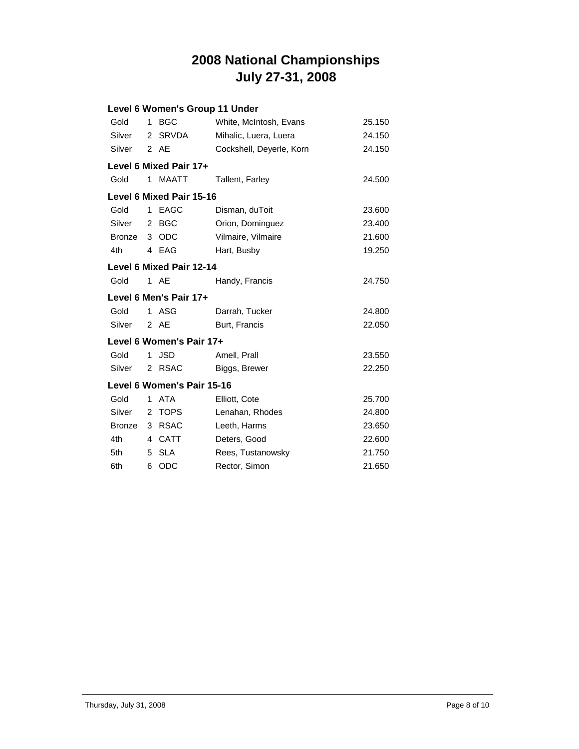|               |                | Level 6 Women's Group 11 Under  |                          |        |
|---------------|----------------|---------------------------------|--------------------------|--------|
| Gold          | 1              | <b>BGC</b>                      | White, McIntosh, Evans   | 25.150 |
| Silver        | $\overline{2}$ | <b>SRVDA</b>                    | Mihalic, Luera, Luera    | 24.150 |
| Silver        |                | 2 AE                            | Cockshell, Deyerle, Korn | 24.150 |
|               |                | Level 6 Mixed Pair 17+          |                          |        |
| Gold          | 1              | <b>MAATT</b>                    | <b>Tallent, Farley</b>   | 24.500 |
|               |                | Level 6 Mixed Pair 15-16        |                          |        |
| Gold          | 1              | <b>EAGC</b>                     | Disman, duToit           | 23.600 |
| Silver        | $\overline{2}$ | <b>BGC</b>                      | Orion, Dominguez         | 23.400 |
| <b>Bronze</b> |                | 3 ODC                           | Vilmaire, Vilmaire       | 21.600 |
| 4th           |                | 4 EAG                           | Hart, Busby              | 19.250 |
|               |                | <b>Level 6 Mixed Pair 12-14</b> |                          |        |
| Gold          |                | 1 AE                            | Handy, Francis           | 24.750 |
|               |                | Level 6 Men's Pair 17+          |                          |        |
| Gold          | 1              | ASG                             | Darrah, Tucker           | 24.800 |
| Silver        |                | 2 AE                            | Burt, Francis            | 22.050 |
|               |                | Level 6 Women's Pair 17+        |                          |        |
| Gold          | 1              | <b>JSD</b>                      | Amell, Prall             | 23.550 |
| Silver        | $\overline{2}$ | <b>RSAC</b>                     | Biggs, Brewer            | 22.250 |
|               |                | Level 6 Women's Pair 15-16      |                          |        |
| Gold          | 1              | <b>ATA</b>                      | Elliott, Cote            | 25.700 |
| Silver        | 2              | <b>TOPS</b>                     | Lenahan, Rhodes          | 24.800 |
| <b>Bronze</b> | 3              | <b>RSAC</b>                     | Leeth, Harms             | 23.650 |
| 4th           | 4              | <b>CATT</b>                     | Deters, Good             | 22.600 |
| 5th           | 5              | <b>SLA</b>                      | Rees, Tustanowsky        | 21.750 |
| 6th           | 6              | ODC                             | Rector, Simon            | 21.650 |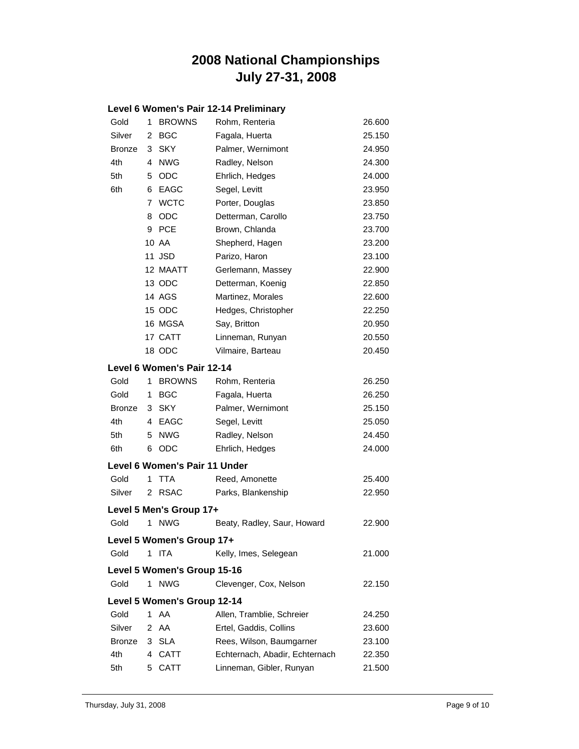#### **Level 6 Women's Pair 12-14 Preliminary**

| Gold          | 1 | <b>BROWNS</b>                 | Rohm, Renteria                 | 26.600 |
|---------------|---|-------------------------------|--------------------------------|--------|
| Silver        | 2 | <b>BGC</b>                    | Fagala, Huerta                 | 25.150 |
| <b>Bronze</b> | 3 | <b>SKY</b>                    | Palmer, Wernimont              | 24.950 |
| 4th           | 4 | <b>NWG</b>                    | Radley, Nelson                 | 24.300 |
| 5th           | 5 | <b>ODC</b>                    | Ehrlich, Hedges                | 24.000 |
| 6th           | 6 | <b>EAGC</b>                   | Segel, Levitt                  | 23.950 |
|               | 7 | <b>WCTC</b>                   | Porter, Douglas                | 23.850 |
|               | 8 | ODC                           | Detterman, Carollo             | 23.750 |
|               | 9 | <b>PCE</b>                    | Brown, Chlanda                 | 23.700 |
|               |   | 10 AA                         | Shepherd, Hagen                | 23.200 |
|               |   | 11 JSD                        | Parizo, Haron                  | 23.100 |
|               |   | 12 MAATT                      | Gerlemann, Massey              | 22.900 |
|               |   | 13 ODC                        | Detterman, Koenig              | 22.850 |
|               |   | 14 AGS                        | Martinez, Morales              | 22.600 |
|               |   | 15 ODC                        | Hedges, Christopher            | 22.250 |
|               |   | 16 MGSA                       | Say, Britton                   | 20.950 |
|               |   | 17 CATT                       | Linneman, Runyan               | 20.550 |
|               |   | 18 ODC                        | Vilmaire, Barteau              | 20.450 |
|               |   | Level 6 Women's Pair 12-14    |                                |        |
| Gold          | 1 | <b>BROWNS</b>                 | Rohm, Renteria                 | 26.250 |
| Gold          | 1 | <b>BGC</b>                    | Fagala, Huerta                 | 26.250 |
| <b>Bronze</b> | 3 | <b>SKY</b>                    | Palmer, Wernimont              | 25.150 |
| 4th           | 4 | EAGC                          | Segel, Levitt                  | 25.050 |
| 5th           | 5 | <b>NWG</b>                    | Radley, Nelson                 | 24.450 |
| 6th           | 6 | <b>ODC</b>                    | Ehrlich, Hedges                | 24.000 |
|               |   | Level 6 Women's Pair 11 Under |                                |        |
| Gold          | 1 | TTA                           | Reed, Amonette                 | 25.400 |
| Silver        | 2 | <b>RSAC</b>                   | Parks, Blankenship             | 22.950 |
|               |   | Level 5 Men's Group 17+       |                                |        |
| Gold          | 1 | <b>NWG</b>                    | Beaty, Radley, Saur, Howard    | 22.900 |
|               |   | Level 5 Women's Group 17+     |                                |        |
| Gold          | 1 | <b>ITA</b>                    | Kelly, Imes, Selegean          | 21.000 |
|               |   | Level 5 Women's Group 15-16   |                                |        |
| Gold          | 1 | <b>NWG</b>                    | Clevenger, Cox, Nelson         | 22.150 |
|               |   | Level 5 Women's Group 12-14   |                                |        |
| Gold          | 1 | AA                            | Allen, Tramblie, Schreier      | 24.250 |
| Silver        | 2 | AA                            | Ertel, Gaddis, Collins         | 23.600 |
| <b>Bronze</b> | 3 | <b>SLA</b>                    | Rees, Wilson, Baumgarner       | 23.100 |
| 4th           |   | 4 CATT                        | Echternach, Abadir, Echternach | 22.350 |
| 5th           | 5 | <b>CATT</b>                   | Linneman, Gibler, Runyan       | 21.500 |